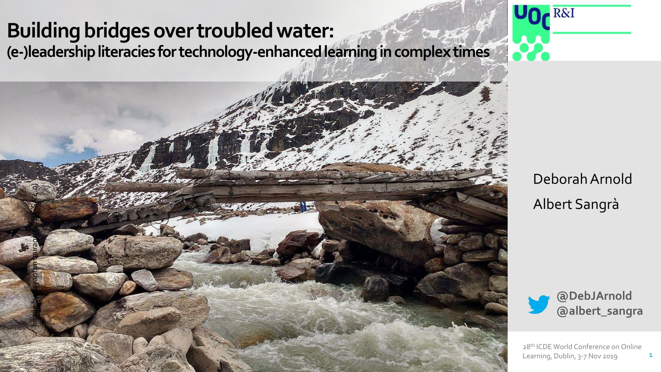# **Building bridges over troubled water: (e-)leadership literacies for technology-enhanced learning in complex times**

Image by Sayantan bairagi [CC BY-SA 4.0]



Deborah Arnold Albert Sangrà



28<sup>th</sup> ICDE World Conference on Online Learning, Dublin, 3-7 Nov 2019

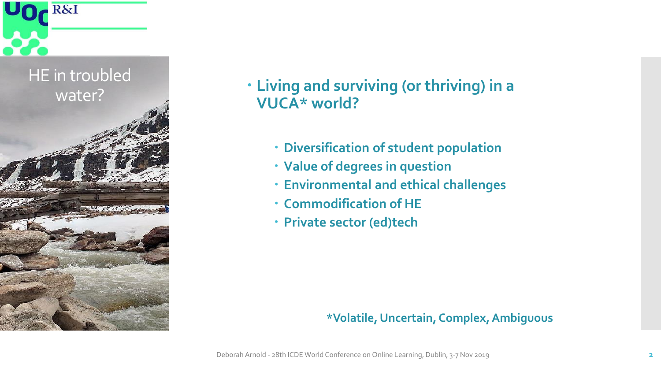

# water? **Living and surviving (or thriving) in a VUCA\* world?**

- **Diversification of student population**
- **Value of degrees in question**
- **Environmental and ethical challenges**
- **Commodification of HE**
- **Private sector (ed)tech**

## **\*Volatile, Uncertain, Complex, Ambiguous**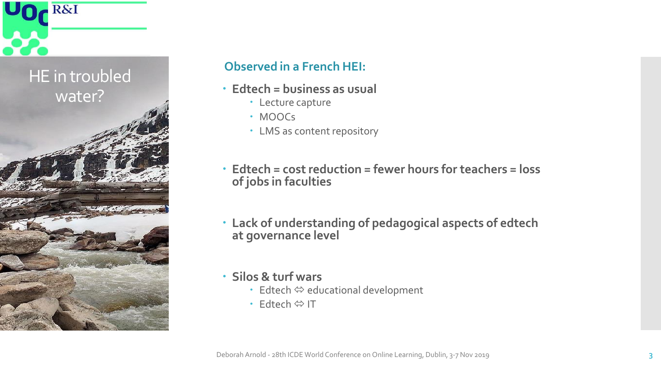

## **Observed in a French HEI:**

- **Edtech = business as usual**
	- Lecture capture
	- · MOOCs
	- LMS as content repository
- **Edtech = cost reduction = fewer hours for teachers = loss of jobs in faculties**
- **Lack of understanding of pedagogical aspects of edtech at governance level**
- **Silos & turf wars** 
	- $\cdot$  Edtech  $\Leftrightarrow$  educational development
	- Edtech ⇔ IT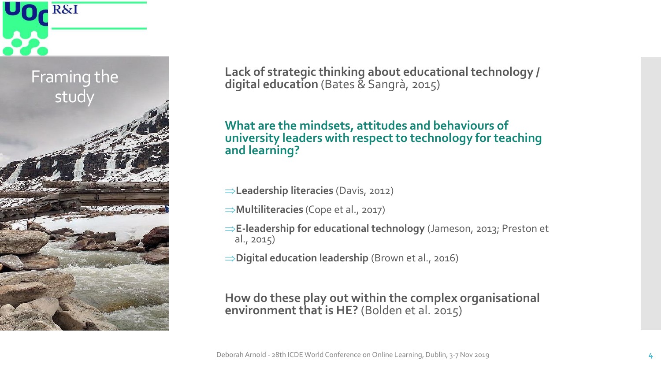

**Lack of strategic thinking about educational technology / digital education** (Bates & Sangrà, 2015)

### **What are the mindsets, attitudes and behaviours of university leaders with respect to technology for teaching and learning?**

- **Leadership literacies** (Davis, 2012)
- **Multiliteracies** (Cope et al., 2017)
- **E-leadership for educational technology** (Jameson, 2013; Preston et al., 2015)
- **Digital education leadership** (Brown et al., 2016)

#### **How do these play out within the complex organisational environment that is HE?** (Bolden et al. 2015)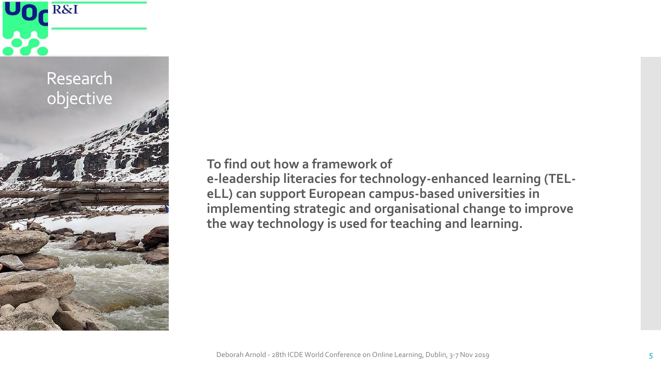

**To find out how a framework of** 

**e-leadership literacies for technology-enhanced learning (TELeLL) can support European campus-based universities in implementing strategic and organisational change to improve the way technology is used for teaching and learning.**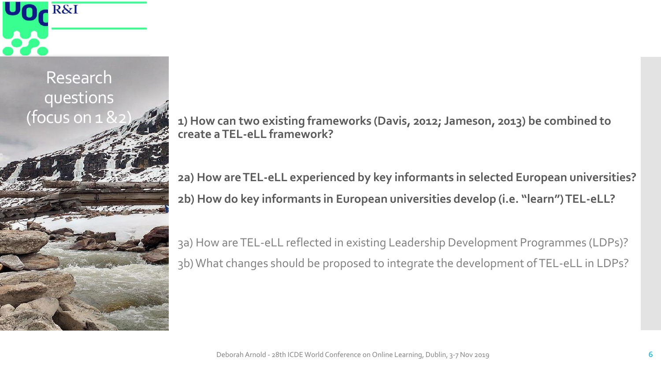

(focus on 1 &2) **1) How can two existing frameworks (Davis, 2012; Jameson, 2013) be combined to create a TEL-eLL framework?**

> **2a) How are TEL-eLL experienced by key informants in selected European universities? 2b) How do key informants in European universities develop (i.e. "learn") TEL-eLL?**

3a) How are TEL-eLL reflected in existing Leadership Development Programmes (LDPs)? 3b) What changes should be proposed to integrate the development of TEL-eLL in LDPs?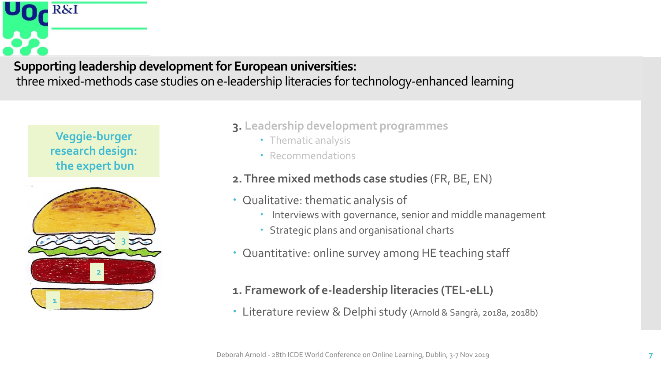

## **Veggie-burger research design: the expert bun**



- **3. Leadership development programmes**
	- Thematic analysis
	- Recommendations

## **2. Three mixed methods case studies** (FR, BE, EN)

- Qualitative: thematic analysis of
	- Interviews with governance, senior and middle management
	- Strategic plans and organisational charts
- Quantitative: online survey among HE teaching staff

## **1. Framework of e-leadership literacies (TEL-eLL)**

Literature review & Delphi study (Arnold & Sangrà, 2018a, 2018b)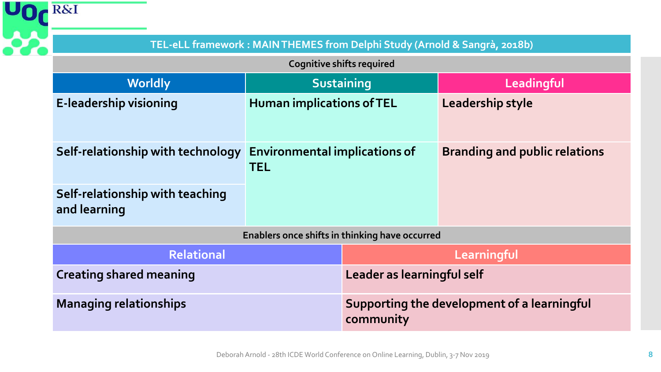| <b>R&amp;I</b>                                  |                                                                                        |  |                                                          |  |  |  |  |  |  |  |
|-------------------------------------------------|----------------------------------------------------------------------------------------|--|----------------------------------------------------------|--|--|--|--|--|--|--|
|                                                 | TEL-eLL framework: MAINTHEMES from Delphi Study (Arnold & Sangrà, 2018b)               |  |                                                          |  |  |  |  |  |  |  |
|                                                 | <b>Cognitive shifts required</b>                                                       |  |                                                          |  |  |  |  |  |  |  |
| <b>Worldly</b>                                  | <b>Sustaining</b>                                                                      |  | Leadingful                                               |  |  |  |  |  |  |  |
| E-leadership visioning                          | <b>Human implications of TEL</b><br><b>Environmental implications of</b><br><b>TEL</b> |  | Leadership style                                         |  |  |  |  |  |  |  |
| Self-relationship with technology               |                                                                                        |  | <b>Branding and public relations</b>                     |  |  |  |  |  |  |  |
| Self-relationship with teaching<br>and learning |                                                                                        |  |                                                          |  |  |  |  |  |  |  |
|                                                 | Enablers once shifts in thinking have occurred                                         |  |                                                          |  |  |  |  |  |  |  |
| <b>Relational</b>                               | <b>Creating shared meaning</b><br><b>Managing relationships</b>                        |  | Learningful                                              |  |  |  |  |  |  |  |
|                                                 |                                                                                        |  | Leader as learningful self                               |  |  |  |  |  |  |  |
|                                                 |                                                                                        |  | Supporting the development of a learningful<br>community |  |  |  |  |  |  |  |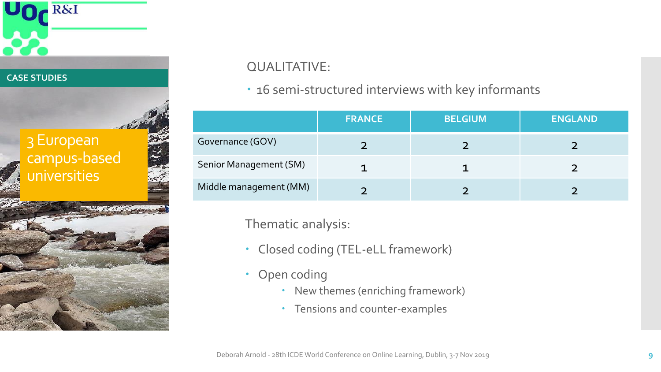#### **CASE STUDIES**

# 3 European campus-based universities

**R&I** 



## QUALITATIVE:

## 16 semi-structured interviews with key informants

|                        | <b>FRANCE</b> | <b>BELGIUM</b> | <b>ENGLAND</b> |
|------------------------|---------------|----------------|----------------|
| Governance (GOV)       |               |                |                |
| Senior Management (SM) |               |                |                |
| Middle management (MM) |               |                |                |

Thematic analysis:

- Closed coding (TEL-eLL framework)
- Open coding
	- New themes (enriching framework)
	- Tensions and counter-examples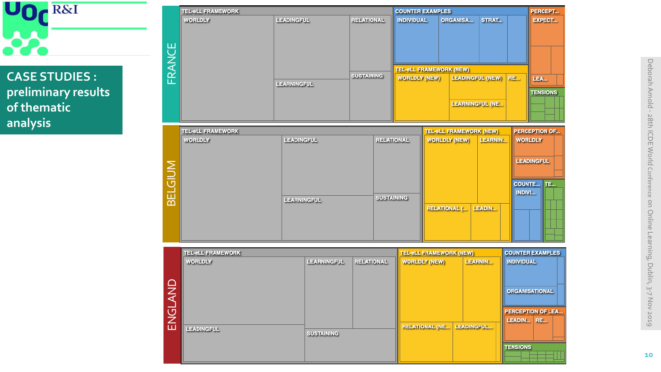

## **CASE STUDIES : preliminary results of thematic analysis**

ENGLAN<br>ENGLANDINGFUL

|                          | <b>TEL-eLL FRAMEWORK</b>            |                    |                                | <b>COUNTER EXAMPLES</b>                  |                                                        |                         |                         | PERCEPT                                |
|--------------------------|-------------------------------------|--------------------|--------------------------------|------------------------------------------|--------------------------------------------------------|-------------------------|-------------------------|----------------------------------------|
| FRANCE                   | WORLDLY                             | <b>LEADINGFUL</b>  | <b>RELATIONAL</b>              | <b>INDIVIDUAL</b>                        | ORGANISA<br><b>TEL-eLL FRAMEWORK (NEW)</b>             | STRAT                   |                         | <b>EXPECT</b>                          |
|                          |                                     | LEARNINGFUL        | <b>SUSTAINING</b>              | <b>WORLDLY (NEW)</b>                     |                                                        | <b>LEADINGFUL (NEW)</b> | <b>RE</b>               | LEA                                    |
|                          |                                     |                    |                                |                                          |                                                        | <b>LEARNINGFUL (NE</b>  |                         | <b>TENSIONS</b>                        |
|                          |                                     |                    |                                |                                          |                                                        |                         |                         |                                        |
|                          | <b>TEL-eLL FRAMEWORK</b><br>WORLDLY | <b>LEADINGFUL</b>  | <b>RELATIONAL</b>              |                                          | <b>TEL-eLL FRAMEWORK (NEW)</b><br><b>WORLDLY (NEW)</b> | <b>LEARNIN</b>          |                         | <b>PERCEPTION OF</b><br><b>WORLDLY</b> |
|                          |                                     |                    |                                |                                          |                                                        |                         |                         |                                        |
| BELGIUM                  |                                     |                    |                                |                                          |                                                        |                         |                         | <b>LEADINGFUL</b>                      |
|                          |                                     |                    |                                |                                          |                                                        |                         | <b>COUNTE</b>           | TE                                     |
|                          |                                     | LEARNINGFUL        |                                | <b>SUSTAINING</b><br><b>RELATIONAL (</b> |                                                        | <b>INDIVI</b>           |                         |                                        |
|                          |                                     |                    |                                |                                          |                                                        | <b>LEADIN</b>           |                         |                                        |
|                          |                                     |                    |                                |                                          |                                                        |                         |                         |                                        |
|                          |                                     |                    |                                |                                          |                                                        |                         |                         |                                        |
|                          | <b>TEL-eLL FRAMEWORK</b>            |                    | <b>TEL-eLL FRAMEWORK (NEW)</b> |                                          |                                                        |                         | <b>COUNTER EXAMPLES</b> |                                        |
|                          | WORLDLY                             | <b>LEARNINGFUL</b> | <b>RELATIONAL</b>              | <b>WORLDLY (NEW)</b>                     |                                                        | <b>LEARNIN</b>          | <b>INDIVIDUAL</b>       |                                        |
|                          |                                     |                    |                                |                                          |                                                        |                         |                         |                                        |
| $\overline{\mathcal{C}}$ |                                     |                    |                                |                                          |                                                        |                         |                         | <b>ORGANISATIONAL</b>                  |

**SUSTAINING** 

**RELATIONAL (NE...** 

LEADINGFUL...

PERCEPTION OF LEA.. LEADIN... RE...

**TENSIONS**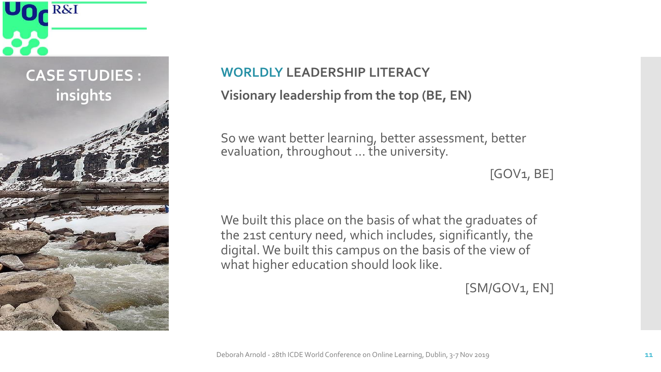

# **WORLDLY LEADERSHIP LITERACY Visionary leadership from the top (BE, EN)**

So we want better learning, better assessment, better evaluation, throughout ... the university.

[GOV1, BE]

We built this place on the basis of what the graduates of the 21st century need, which includes, significantly, the digital. We built this campus on the basis of the view of what higher education should look like.

 $[SM/GOV_1, EN]$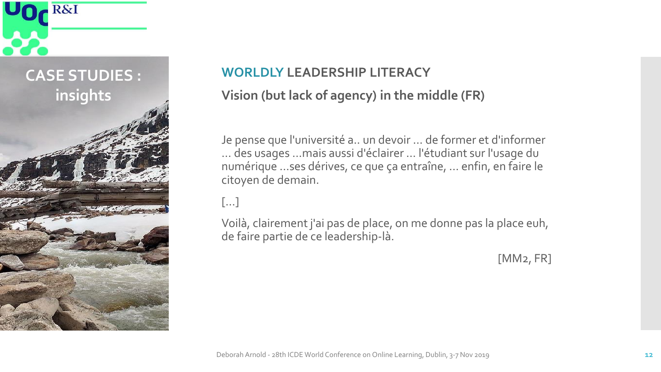

# **WORLDLY LEADERSHIP LITERACY Vision (but lack of agency) in the middle (FR)**

Je pense que l'université a.. un devoir … de former et d'informer ... des usages …mais aussi d'éclairer … l'étudiant sur l'usage du numérique …ses dérives, ce que ça entraîne, … enfin, en faire le citoyen de demain.

[…]

Voilà, clairement j'ai pas de place, on me donne pas la place euh, de faire partie de ce leadership-là.

[MM2, FR]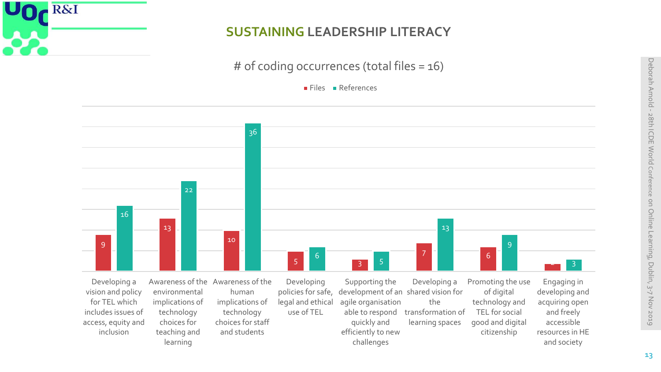

learning

## **SUSTAINING LEADERSHIP LITERACY**

# of coding occurrences (total files = 16)

Files References



challenges

and society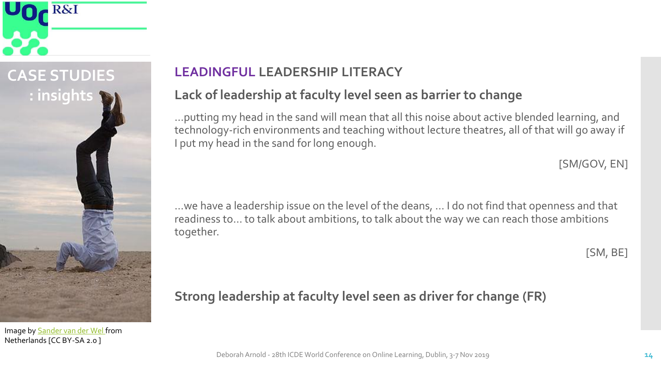

Image by [Sander van der Wel f](mailto:https://www.flickr.com/people/40803964@N08)rom Netherlands [CC BY-SA 2.0 ]

## **LEADINGFUL LEADERSHIP LITERACY**

## **Lack of leadership at faculty level seen as barrier to change**

…putting my head in the sand will mean that all this noise about active blended learning, and technology-rich environments and teaching without lecture theatres, all of that will go away if I put my head in the sand for long enough.

[SM/GOV, EN]

…we have a leadership issue on the level of the deans, ... I do not find that openness and that readiness to… to talk about ambitions, to talk about the way we can reach those ambitions together.

[SM, BE]

## **Strong leadership at faculty level seen as driver for change (FR)**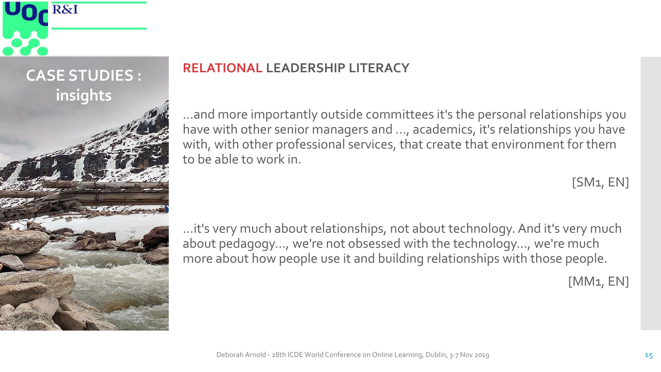

## **RELATIONAL LEADERSHIP LITERACY**

…and more importantly outside committees it's the personal relationships you have with other senior managers and …, academics, it's relationships you have with, with other professional services, that create that environment for them to be able to work in.

 $[SM1, EN]$ 

…it's very much about relationships, not about technology. And it's very much about pedagogy…, we're not obsessed with the technology…, we're much more about how people use it and building relationships with those people.

[MM1, EN]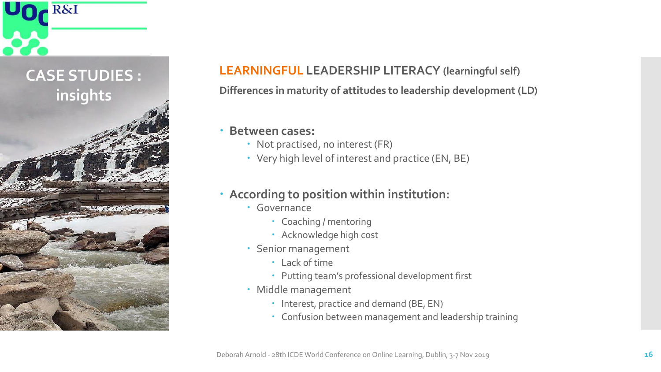

## **LEARNINGFUL LEADERSHIP LITERACY (learningful self)**

**Differences in maturity of attitudes to leadership development (LD)**

#### **Between cases:**

- Not practised, no interest (FR)
- Very high level of interest and practice (EN, BE)

## **According to position within institution:**

- Governance
	- Coaching / mentoring
	- Acknowledge high cost
- Senior management
	- Lack of time
	- Putting team's professional development first
- Middle management
	- Interest, practice and demand (BE, EN)
	- Confusion between management and leadership training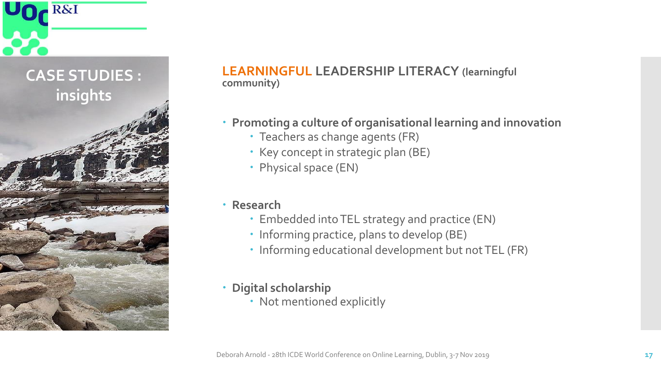

### **LEARNINGFUL LEADERSHIP LITERACY (learningful community)**

- **Promoting a culture of organisational learning and innovation**
	- Teachers as change agents (FR)
	- Key concept in strategic plan (BE)
	- Physical space (EN)
- **Research**
	- Embedded into TEL strategy and practice (EN)
	- Informing practice, plans to develop (BE)
	- Informing educational development but not TEL (FR)
- **Digital scholarship**
	- Not mentioned explicitly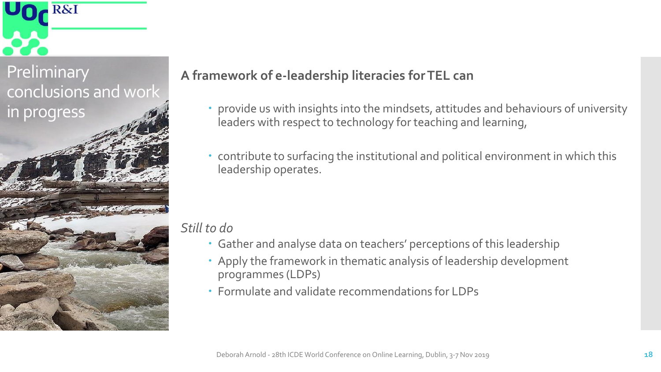

Preliminary conclusions and work in progress

## **A framework of e-leadership literacies for TEL can**

- provide us with insights into the mindsets, attitudes and behaviours of university leaders with respect to technology for teaching and learning,
- contribute to surfacing the institutional and political environment in which this leadership operates.

## *Still to do*

- Gather and analyse data on teachers' perceptions of this leadership
- Apply the framework in thematic analysis of leadership development programmes (LDPs)
- Formulate and validate recommendations for LDPs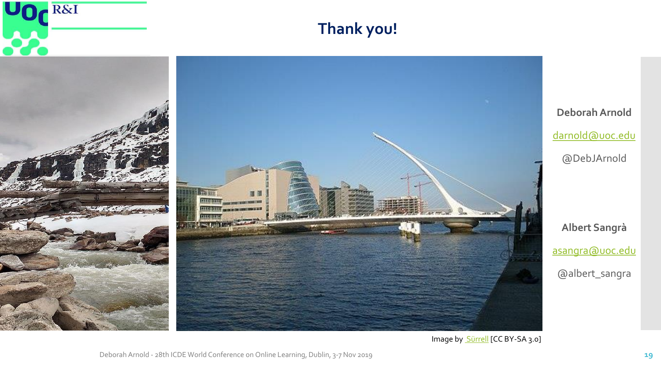

**Thank you!**



**Deborah Arnold** [darnold@uoc.edu](mailto:darnold@uoc.edu) @DebJArnold **Albert Sangrà** [asangra@uoc.edu](mailto:asangra@uoc.edu)

@albert\_sangra

Image by [Sürrell](https://commons.wikimedia.org/wiki/User:S%C3%BCrrell) [CC BY-SA 3.0]